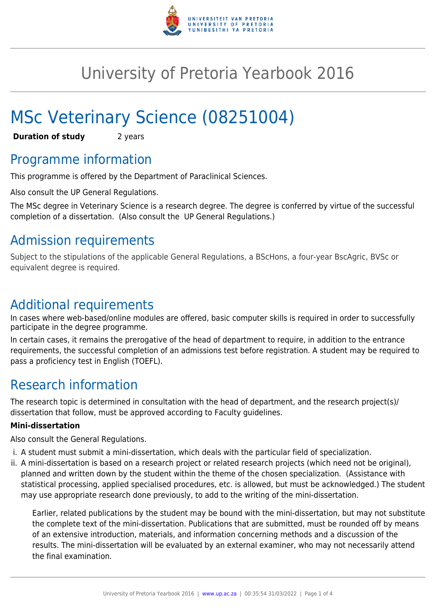

# University of Pretoria Yearbook 2016

# MSc Veterinary Science (08251004)

**Duration of study** 2 years

# Programme information

This programme is offered by the Department of Paraclinical Sciences.

Also consult the UP General Regulations.

The MSc degree in Veterinary Science is a research degree. The degree is conferred by virtue of the successful completion of a dissertation. (Also consult the UP General Regulations.)

# Admission requirements

Subject to the stipulations of the applicable General Regulations, a BScHons, a four-year BscAgric, BVSc or equivalent degree is required.

# Additional requirements

In cases where web-based/online modules are offered, basic computer skills is required in order to successfully participate in the degree programme.

In certain cases, it remains the prerogative of the head of department to require, in addition to the entrance requirements, the successful completion of an admissions test before registration. A student may be required to pass a proficiency test in English (TOEFL).

# Research information

The research topic is determined in consultation with the head of department, and the research project(s)/ dissertation that follow, must be approved according to Faculty guidelines.

### **Mini-dissertation**

Also consult the General Regulations.

- i. A student must submit a mini-dissertation, which deals with the particular field of specialization.
- ii. A mini-dissertation is based on a research project or related research projects (which need not be original), planned and written down by the student within the theme of the chosen specialization. (Assistance with statistical processing, applied specialised procedures, etc. is allowed, but must be acknowledged.) The student may use appropriate research done previously, to add to the writing of the mini-dissertation.

Earlier, related publications by the student may be bound with the mini-dissertation, but may not substitute the complete text of the mini-dissertation. Publications that are submitted, must be rounded off by means of an extensive introduction, materials, and information concerning methods and a discussion of the results. The mini-dissertation will be evaluated by an external examiner, who may not necessarily attend the final examination.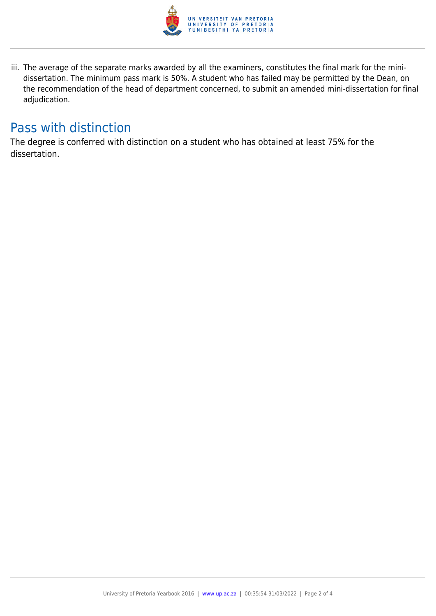

iii. The average of the separate marks awarded by all the examiners, constitutes the final mark for the minidissertation. The minimum pass mark is 50%. A student who has failed may be permitted by the Dean, on the recommendation of the head of department concerned, to submit an amended mini-dissertation for final adjudication.

# Pass with distinction

The degree is conferred with distinction on a student who has obtained at least 75% for the dissertation.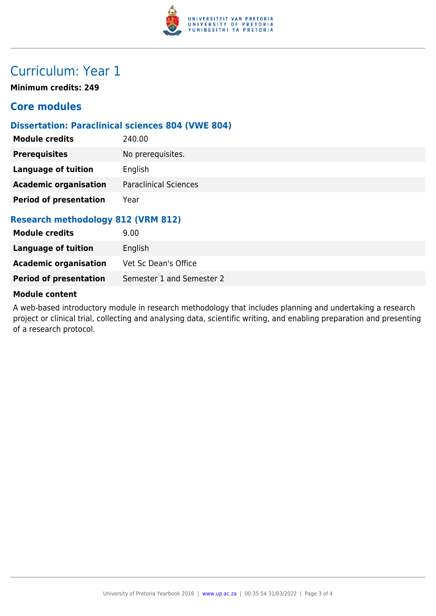

# Curriculum: Year 1

**Minimum credits: 249**

### **Core modules**

### **Dissertation: Paraclinical sciences 804 (VWE 804)**

| <b>Module credits</b>              | 240.00                       |  |
|------------------------------------|------------------------------|--|
| <b>Prerequisites</b>               | No prerequisites.            |  |
| Language of tuition                | English                      |  |
| <b>Academic organisation</b>       | <b>Paraclinical Sciences</b> |  |
| <b>Period of presentation</b>      | Year                         |  |
| Research methodology 812 (VRM 812) |                              |  |

### **Research methodology 812 (VRM 812)**

| <b>Module credits</b>         | 9.00                      |
|-------------------------------|---------------------------|
| Language of tuition           | English                   |
| <b>Academic organisation</b>  | Vet Sc Dean's Office      |
| <b>Period of presentation</b> | Semester 1 and Semester 2 |

#### **Module content**

A web-based introductory module in research methodology that includes planning and undertaking a research project or clinical trial, collecting and analysing data, scientific writing, and enabling preparation and presenting of a research protocol.